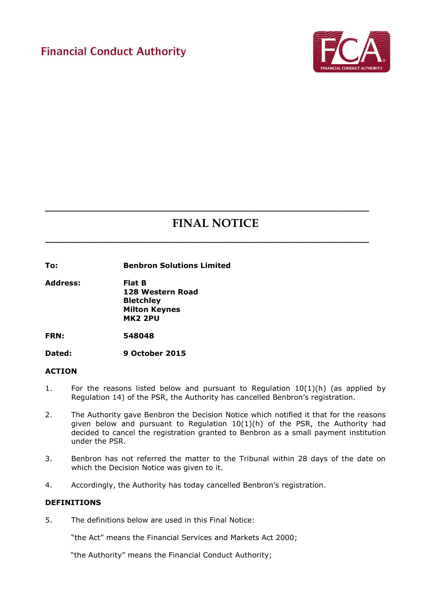# **Financial Conduct Authority**



# **FINAL NOTICE**

**\_\_\_\_\_\_\_\_\_\_\_\_\_\_\_\_\_\_\_\_\_\_\_\_\_\_\_\_\_\_\_\_\_\_\_\_\_\_\_\_\_\_\_\_\_\_\_\_\_\_\_\_\_\_\_\_\_\_\_\_\_\_\_**

**\_\_\_\_\_\_\_\_\_\_\_\_\_\_\_\_\_\_\_\_\_\_\_\_\_\_\_\_\_\_\_\_\_\_\_\_\_\_\_\_\_\_\_\_\_\_\_\_\_\_\_\_\_\_\_\_\_\_\_\_\_\_\_**

**To: Benbron Solutions Limited**

**Address: Flat B 128 Western Road Bletchley Milton Keynes MK2 2PU**

**FRN: 548048**

**Dated: 9 October 2015**

#### **ACTION**

- 1. For the reasons listed below and pursuant to Regulation  $10(1)(h)$  (as applied by Regulation 14) of the PSR, the Authority has cancelled Benbron's registration.
- 2. The Authority gave Benbron the Decision Notice which notified it that for the reasons given below and pursuant to Regulation  $10(1)(h)$  of the PSR, the Authority had decided to cancel the registration granted to Benbron as a small payment institution under the PSR.
- 3. Benbron has not referred the matter to the Tribunal within 28 days of the date on which the Decision Notice was given to it.
- 4. Accordingly, the Authority has today cancelled Benbron's registration.

## **DEFINITIONS**

5. The definitions below are used in this Final Notice:

"the Act" means the Financial Services and Markets Act 2000;

"the Authority" means the Financial Conduct Authority;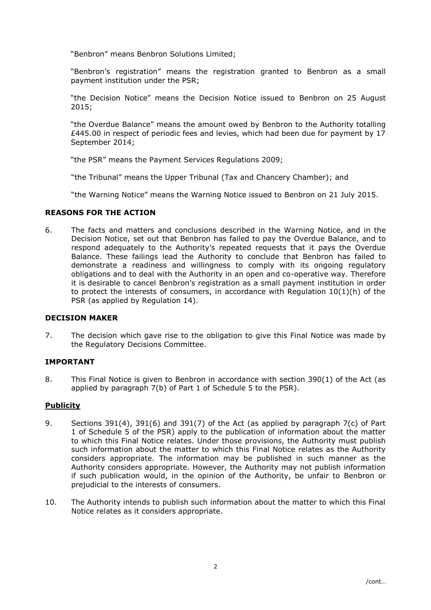"Benbron" means Benbron Solutions Limited;

"Benbron's registration" means the registration granted to Benbron as a small payment institution under the PSR;

"the Decision Notice" means the Decision Notice issued to Benbron on 25 August 2015;

"the Overdue Balance" means the amount owed by Benbron to the Authority totalling  $£445.00$  in respect of periodic fees and levies, which had been due for payment by 17 September 2014;

"the PSR" means the Payment Services Regulations 2009;

"the Tribunal" means the Upper Tribunal (Tax and Chancery Chamber); and

"the Warning Notice" means the Warning Notice issued to Benbron on 21 July 2015.

## **REASONS FOR THE ACTION**

6. The facts and matters and conclusions described in the Warning Notice, and in the Decision Notice, set out that Benbron has failed to pay the Overdue Balance, and to respond adequately to the Authority's repeated requests that it pays the Overdue Balance. These failings lead the Authority to conclude that Benbron has failed to demonstrate a readiness and willingness to comply with its ongoing regulatory obligations and to deal with the Authority in an open and co-operative way. Therefore it is desirable to cancel Benbron's registration as a small payment institution in order to protect the interests of consumers, in accordance with Regulation 10(1)(h) of the PSR (as applied by Regulation 14).

#### **DECISION MAKER**

7. The decision which gave rise to the obligation to give this Final Notice was made by the Regulatory Decisions Committee.

## **IMPORTANT**

8. This Final Notice is given to Benbron in accordance with section 390(1) of the Act (as applied by paragraph 7(b) of Part 1 of Schedule 5 to the PSR).

#### **Publicity**

- 9. Sections 391(4), 391(6) and 391(7) of the Act (as applied by paragraph 7(c) of Part 1 of Schedule 5 of the PSR) apply to the publication of information about the matter to which this Final Notice relates. Under those provisions, the Authority must publish such information about the matter to which this Final Notice relates as the Authority considers appropriate. The information may be published in such manner as the Authority considers appropriate. However, the Authority may not publish information if such publication would, in the opinion of the Authority, be unfair to Benbron or prejudicial to the interests of consumers.
- 10. The Authority intends to publish such information about the matter to which this Final Notice relates as it considers appropriate.